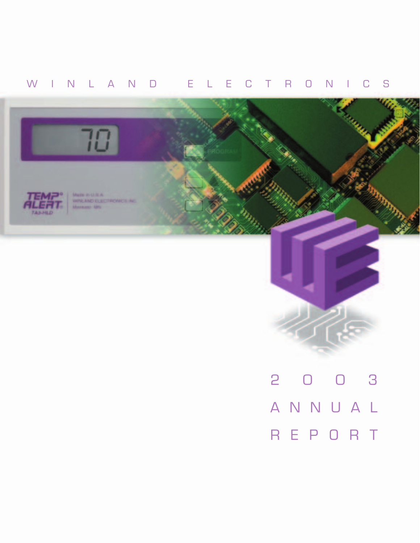## WINLAND ELECTRONICS





ANNUAL REPORT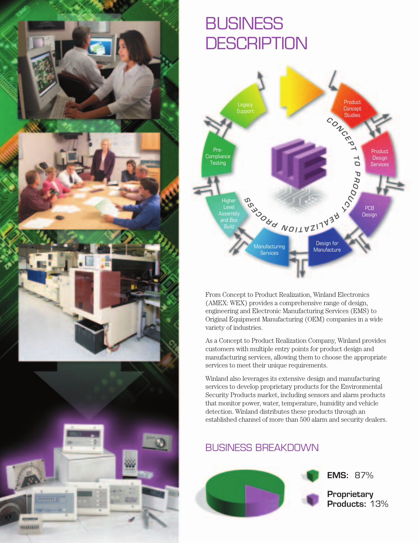

# **BUSINESS DESCRIPTION**



From Concept to Product Realization, Winland Electronics (AMEX: WEX) provides a comprehensive range of design, engineering and Electronic Manufacturing Services (EMS) to Original Equipment Manufacturing (OEM) companies in a wide variety of industries.

As a Concept to Product Realization Company, Winland provides customers with multiple entry points for product design and manufacturing services, allowing them to choose the appropriate services to meet their unique requirements.

Winland also leverages its extensive design and manufacturing services to develop proprietary products for the Environmental Security Products market, including sensors and alarm products that monitor power, water, temperature, humidity and vehicle detection. Winland distributes these products through an established channel of more than 500 alarm and security dealers.

## BUSINESS BREAKDOWN

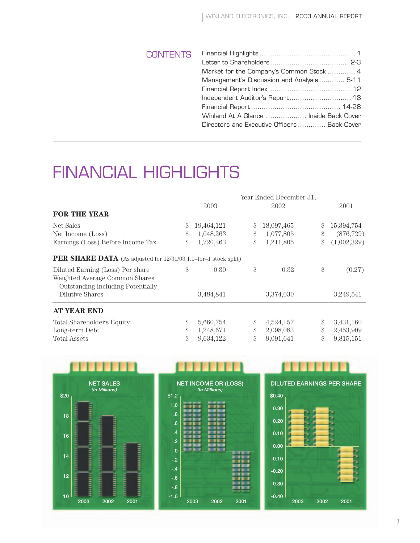| <b>CONTENTS</b> |                                              |  |
|-----------------|----------------------------------------------|--|
|                 |                                              |  |
|                 | Market for the Company's Common Stock  4     |  |
|                 | Management's Discussion and Analysis 5-11    |  |
|                 |                                              |  |
|                 |                                              |  |
|                 |                                              |  |
|                 | Winland At A Glance  Inside Back Cover       |  |
|                 | Directors and Executive Officers  Back Cover |  |
|                 |                                              |  |

# FINANCIAL HIGHLIGHTS

|                                                                 |                  | Year Ended December 31, |               |             |
|-----------------------------------------------------------------|------------------|-------------------------|---------------|-------------|
|                                                                 | 2003             | 2002                    |               | 2001        |
| <b>FOR THE YEAR</b>                                             |                  |                         |               |             |
| Net Sales                                                       | \$<br>19,464,121 | \$<br>18,097,465        | $\mathcal{S}$ | 15,394,754  |
| Net Income (Loss)                                               | \$<br>1,048,263  | \$<br>1,077,805         | \$            | (876, 729)  |
| Earnings (Loss) Before Income Tax                               | \$<br>1,720,263  | \$<br>1,211,805         | \$            | (1,002,329) |
| PER SHARE DATA (As adjusted for 12/31/03 1.1-for-1 stock split) |                  |                         |               |             |
| Diluted Earning (Loss) Per share                                | \$<br>0.30       | \$<br>0.32              | \$            | (0.27)      |
| Weighted Average Common Shares                                  |                  |                         |               |             |
| <b>Outstanding Including Potentially</b>                        |                  |                         |               |             |
| Dilutive Shares                                                 | 3,484,841        | 3,374,030               |               | 3,249,541   |
| <b>AT YEAR END</b>                                              |                  |                         |               |             |
| Total Shareholder's Equity                                      | \$<br>5,660,754  | \$<br>4,524,157         | \$            | 3,431,160   |
| Long-term Debt                                                  | \$<br>1,248,671  | \$<br>2,098,083         | \$            | 2,453,909   |
| <b>Total Assets</b>                                             | \$<br>9,634,122  | \$<br>9,091,641         | \$            | 9,815,151   |



| \$1.2           | <b>NET INCOME OR (LOSS)</b> | (In Millions) |      |
|-----------------|-----------------------------|---------------|------|
| 1.0             |                             |               |      |
| .8              |                             |               |      |
| .6              |                             |               |      |
| $\overline{.4}$ |                             |               |      |
| $\cdot$         |                             |               |      |
| $\mathbf 0$     |                             |               |      |
| $-.2$           |                             |               |      |
| $-.4$           |                             |               |      |
| $-6$            |                             |               |      |
| $-0.8$          |                             |               |      |
| $-1.0$          |                             |               |      |
|                 | 2003                        | 2002          | 2001 |

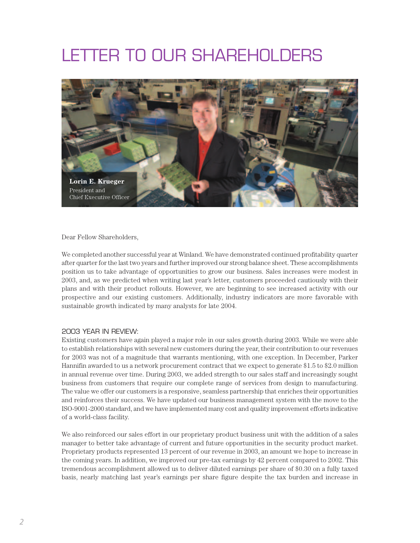# LETTER TO OUR SHAREHOLDERS



Dear Fellow Shareholders,

We completed another successful year at Winland. We have demonstrated continued profitability quarter after quarter for the last two years and further improved our strong balance sheet. These accomplishments position us to take advantage of opportunities to grow our business. Sales increases were modest in 2003, and, as we predicted when writing last year's letter, customers proceeded cautiously with their plans and with their product rollouts. However, we are beginning to see increased activity with our prospective and our existing customers. Additionally, industry indicators are more favorable with sustainable growth indicated by many analysts for late 2004.

#### 2003 YEAR IN REVIEW:

Existing customers have again played a major role in our sales growth during 2003. While we were able to establish relationships with several new customers during the year, their contribution to our revenues for 2003 was not of a magnitude that warrants mentioning, with one exception. In December, Parker Hannifin awarded to us a network procurement contract that we expect to generate \$1.5 to \$2.0 million in annual revenue over time. During 2003, we added strength to our sales staff and increasingly sought business from customers that require our complete range of services from design to manufacturing. The value we offer our customers is a responsive, seamless partnership that enriches their opportunities and reinforces their success. We have updated our business management system with the move to the ISO-9001-2000 standard, and we have implemented many cost and quality improvement efforts indicative of a world-class facility.

We also reinforced our sales effort in our proprietary product business unit with the addition of a sales manager to better take advantage of current and future opportunities in the security product market. Proprietary products represented 13 percent of our revenue in 2003, an amount we hope to increase in the coming years. In addition, we improved our pre-tax earnings by 42 percent compared to 2002. This tremendous accomplishment allowed us to deliver diluted earnings per share of \$0.30 on a fully taxed basis, nearly matching last year's earnings per share figure despite the tax burden and increase in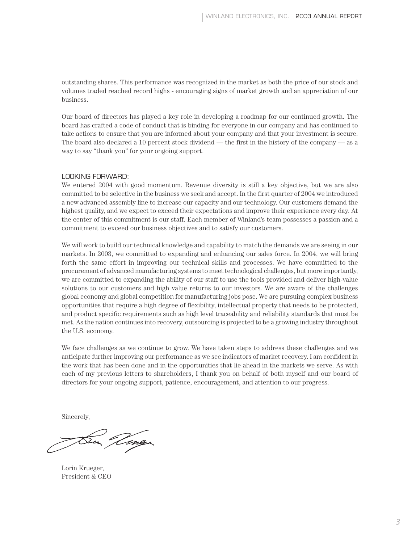outstanding shares. This performance was recognized in the market as both the price of our stock and volumes traded reached record highs - encouraging signs of market growth and an appreciation of our business.

Our board of directors has played a key role in developing a roadmap for our continued growth. The board has crafted a code of conduct that is binding for everyone in our company and has continued to take actions to ensure that you are informed about your company and that your investment is secure. The board also declared a 10 percent stock dividend — the first in the history of the company — as a way to say "thank you" for your ongoing support.

#### LOOKING FORWARD:

We entered 2004 with good momentum. Revenue diversity is still a key objective, but we are also committed to be selective in the business we seek and accept. In the first quarter of 2004 we introduced a new advanced assembly line to increase our capacity and our technology. Our customers demand the highest quality, and we expect to exceed their expectations and improve their experience every day. At the center of this commitment is our staff. Each member of Winland's team possesses a passion and a commitment to exceed our business objectives and to satisfy our customers.

We will work to build our technical knowledge and capability to match the demands we are seeing in our markets. In 2003, we committed to expanding and enhancing our sales force. In 2004, we will bring forth the same effort in improving our technical skills and processes. We have committed to the procurement of advanced manufacturing systems to meet technological challenges, but more importantly, we are committed to expanding the ability of our staff to use the tools provided and deliver high-value solutions to our customers and high value returns to our investors. We are aware of the challenges global economy and global competition for manufacturing jobs pose. We are pursuing complex business opportunities that require a high degree of flexibility, intellectual property that needs to be protected, and product specific requirements such as high level traceability and reliability standards that must be met. As the nation continues into recovery, outsourcing is projected to be a growing industry throughout the U.S. economy.

We face challenges as we continue to grow. We have taken steps to address these challenges and we anticipate further improving our performance as we see indicators of market recovery. I am confident in the work that has been done and in the opportunities that lie ahead in the markets we serve. As with each of my previous letters to shareholders, I thank you on behalf of both myself and our board of directors for your ongoing support, patience, encouragement, and attention to our progress.

Sincerely,

Vinger

Lorin Krueger, President & CEO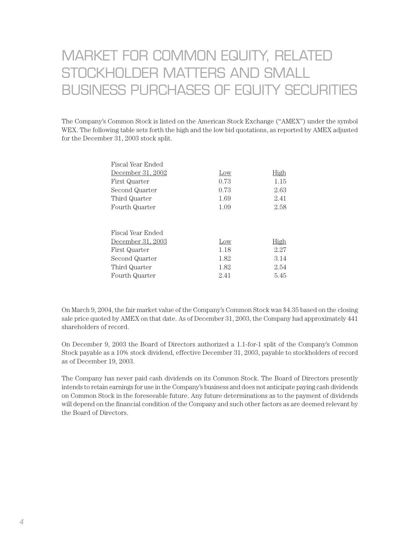## MARKET FOR COMMON EQUITY, RELATED STOCKHOLDER MATTERS AND SMALL BUSINESS PURCHASES OF EQUITY SECURITIES

The Company's Common Stock is listed on the American Stock Exchange ("AMEX") under the symbol WEX. The following table sets forth the high and the low bid quotations, as reported by AMEX adjusted for the December 31, 2003 stock split.

| Fiscal Year Ended |      |             |
|-------------------|------|-------------|
| December 31, 2002 | Low  | <b>High</b> |
| First Quarter     | 0.73 | 1.15        |
| Second Quarter    | 0.73 | 2.63        |
| Third Quarter     | 1.69 | 2.41        |
| Fourth Quarter    | 1.09 | 2.58        |
|                   |      |             |
|                   |      |             |
| Fiscal Year Ended |      |             |
| December 31, 2003 | Low  | High        |
| First Quarter     | 1.18 | 2.27        |
| Second Quarter    | 1.82 | 3.14        |
| Third Quarter     | 1.82 | 2.54        |
| Fourth Quarter    | 2.41 | 5.45        |
|                   |      |             |

On March 9, 2004, the fair market value of the Company's Common Stock was \$4.35 based on the closing sale price quoted by AMEX on that date. As of December 31, 2003, the Company had approximately 441 shareholders of record.

On December 9, 2003 the Board of Directors authorized a 1.1-for-1 split of the Company's Common Stock payable as a 10% stock dividend, effective December 31, 2003, payable to stockholders of record as of December 19, 2003.

The Company has never paid cash dividends on its Common Stock. The Board of Directors presently intends to retain earnings for use in the Company's business and does not anticipate paying cash dividends on Common Stock in the foreseeable future. Any future determinations as to the payment of dividends will depend on the financial condition of the Company and such other factors as are deemed relevant by the Board of Directors.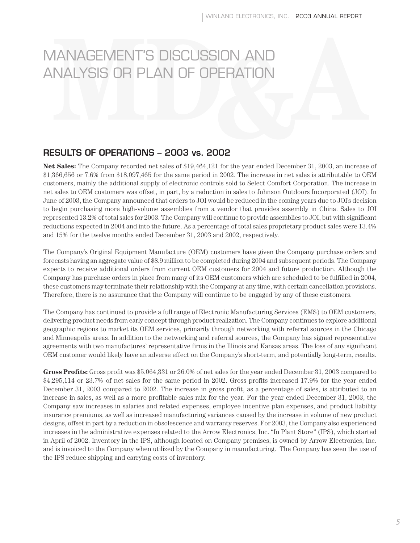#### **RESULTS OF OPERATIONS – 2003 vs. 2002**

**Net Sales:** The Company recorded net sales of \$19,464,121 for the year ended December 31, 2003, an increase of \$1,366,656 or 7.6% from \$18,097,465 for the same period in 2002. The increase in net sales is attributable to OEM customers, mainly the additional supply of electronic controls sold to Select Comfort Corporation. The increase in net sales to OEM customers was offset, in part, by a reduction in sales to Johnson Outdoors Incorporated (JOI). In June of 2003, the Company announced that orders to JOI would be reduced in the coming years due to JOI's decision to begin purchasing more high-volume assemblies from a vendor that provides assembly in China. Sales to JOI represented 13.2% of total sales for 2003. The Company will continue to provide assemblies to JOI, but with significant reductions expected in 2004 and into the future. As a percentage of total sales proprietary product sales were 13.4% and 15% for the twelve months ended December 31, 2003 and 2002, respectively.

The Company's Original Equipment Manufacture (OEM) customers have given the Company purchase orders and forecasts having an aggregate value of \$8.9 million to be completed during 2004 and subsequent periods. The Company expects to receive additional orders from current OEM customers for 2004 and future production. Although the Company has purchase orders in place from many of its OEM customers which are scheduled to be fulfilled in 2004, these customers may terminate their relationship with the Company at any time, with certain cancellation provisions. Therefore, there is no assurance that the Company will continue to be engaged by any of these customers.

The Company has continued to provide a full range of Electronic Manufacturing Services (EMS) to OEM customers, delivering product needs from early concept through product realization. The Company continues to explore additional geographic regions to market its OEM services, primarily through networking with referral sources in the Chicago and Minneapolis areas. In addition to the networking and referral sources, the Company has signed representative agreements with two manufactures' representative firms in the Illinois and Kansas areas. The loss of any significant OEM customer would likely have an adverse effect on the Company's short-term, and potentially long-term, results.

**Gross Profits:** Gross profit was \$5,064,331 or 26.0% of net sales for the year ended December 31, 2003 compared to \$4,295,114 or 23.7% of net sales for the same period in 2002. Gross profits increased 17.9% for the year ended December 31, 2003 compared to 2002. The increase in gross profit, as a percentage of sales, is attributed to an increase in sales, as well as a more profitable sales mix for the year. For the year ended December 31, 2003, the Company saw increases in salaries and related expenses, employee incentive plan expenses, and product liability insurance premiums, as well as increased manufacturing variances caused by the increase in volume of new product designs, offset in part by a reduction in obsolescence and warranty reserves. For 2003, the Company also experienced increases in the administrative expenses related to the Arrow Electronics, Inc. "In Plant Store" (IPS), which started in April of 2002. Inventory in the IPS, although located on Company premises, is owned by Arrow Electronics, Inc. and is invoiced to the Company when utilized by the Company in manufacturing. The Company has seen the use of the IPS reduce shipping and carrying costs of inventory.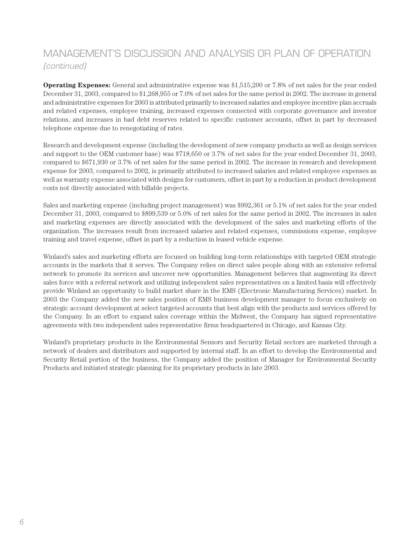**Operating Expenses:** General and administrative expense was \$1,515,200 or 7.8% of net sales for the year ended December 31, 2003, compared to \$1,268,955 or 7.0% of net sales for the same period in 2002. The increase in general and administrative expenses for 2003 is attributed primarily to increased salaries and employee incentive plan accruals and related expenses, employee training, increased expenses connected with corporate governance and investor relations, and increases in bad debt reserves related to specific customer accounts, offset in part by decreased telephone expense due to renegotiating of rates.

Research and development expense (including the development of new company products as well as design services and support to the OEM customer base) was \$718,650 or 3.7% of net sales for the year ended December 31, 2003, compared to \$671,930 or 3.7% of net sales for the same period in 2002. The increase in research and development expense for 2003, compared to 2002, is primarily attributed to increased salaries and related employee expenses as well as warranty expense associated with designs for customers, offset in part by a reduction in product development costs not directly associated with billable projects.

Sales and marketing expense (including project management) was \$992,361 or 5.1% of net sales for the year ended December 31, 2003, compared to \$899,539 or 5.0% of net sales for the same period in 2002. The increases in sales and marketing expenses are directly associated with the development of the sales and marketing efforts of the organization. The increases result from increased salaries and related expenses, commissions expense, employee training and travel expense, offset in part by a reduction in leased vehicle expense.

Winland's sales and marketing efforts are focused on building long-term relationships with targeted OEM strategic accounts in the markets that it serves. The Company relies on direct sales people along with an extensive referral network to promote its services and uncover new opportunities. Management believes that augmenting its direct sales force with a referral network and utilizing independent sales representatives on a limited basis will effectively provide Winland an opportunity to build market share in the EMS (Electronic Manufacturing Services) market. In 2003 the Company added the new sales position of EMS business development manager to focus exclusively on strategic account development at select targeted accounts that best align with the products and services offered by the Company. In an effort to expand sales coverage within the Midwest, the Company has signed representative agreements with two independent sales representative firms headquartered in Chicago, and Kansas City.

Winland's proprietary products in the Environmental Sensors and Security Retail sectors are marketed through a network of dealers and distributors and supported by internal staff. In an effort to develop the Environmental and Security Retail portion of the business, the Company added the position of Manager for Environmental Security Products and initiated strategic planning for its proprietary products in late 2003.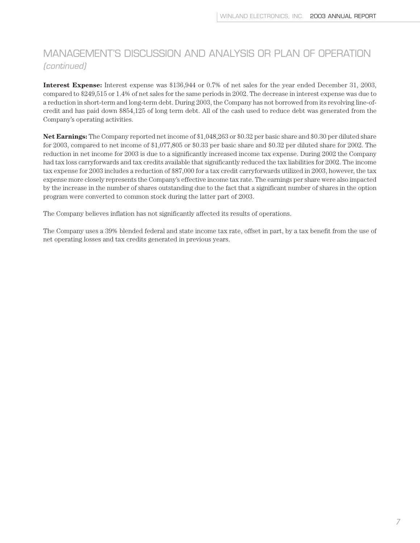**Interest Expense:** Interest expense was \$136,944 or 0.7% of net sales for the year ended December 31, 2003, compared to \$249,515 or 1.4% of net sales for the same periods in 2002. The decrease in interest expense was due to a reduction in short-term and long-term debt. During 2003, the Company has not borrowed from its revolving line-ofcredit and has paid down \$854,125 of long term debt. All of the cash used to reduce debt was generated from the Company's operating activities.

**Net Earnings:** The Company reported net income of \$1,048,263 or \$0.32 per basic share and \$0.30 per diluted share for 2003, compared to net income of \$1,077,805 or \$0.33 per basic share and \$0.32 per diluted share for 2002. The reduction in net income for 2003 is due to a significantly increased income tax expense. During 2002 the Company had tax loss carryforwards and tax credits available that significantly reduced the tax liabilities for 2002. The income tax expense for 2003 includes a reduction of \$87,000 for a tax credit carryforwards utilized in 2003, however, the tax expense more closely represents the Company's effective income tax rate. The earnings per share were also impacted by the increase in the number of shares outstanding due to the fact that a significant number of shares in the option program were converted to common stock during the latter part of 2003.

The Company believes inflation has not significantly affected its results of operations.

The Company uses a 39% blended federal and state income tax rate, offset in part, by a tax benefit from the use of net operating losses and tax credits generated in previous years.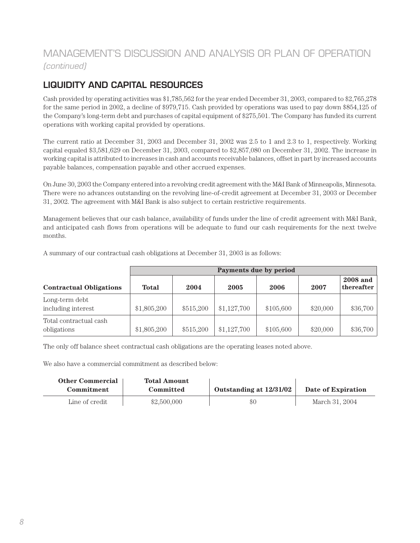### **LIQUIDITY AND CAPITAL RESOURCES**

Cash provided by operating activities was \$1,785,562 for the year ended December 31, 2003, compared to \$2,765,278 for the same period in 2002, a decline of \$979,715. Cash provided by operations was used to pay down \$854,125 of the Company's long-term debt and purchases of capital equipment of \$275,501. The Company has funded its current operations with working capital provided by operations.

The current ratio at December 31, 2003 and December 31, 2002 was 2.5 to 1 and 2.3 to 1, respectively. Working capital equaled \$3,581,629 on December 31, 2003, compared to \$2,857,080 on December 31, 2002. The increase in working capital is attributed to increases in cash and accounts receivable balances, offset in part by increased accounts payable balances, compensation payable and other accrued expenses.

On June 30, 2003 the Company entered into a revolving credit agreement with the M&I Bank of Minneapolis, Minnesota. There were no advances outstanding on the revolving line-of-credit agreement at December 31, 2003 or December 31, 2002. The agreement with M&I Bank is also subject to certain restrictive requirements.

Management believes that our cash balance, availability of funds under the line of credit agreement with M&I Bank, and anticipated cash flows from operations will be adequate to fund our cash requirements for the next twelve months.

|                                       | Payments due by period |           |             |           |          |                               |  |
|---------------------------------------|------------------------|-----------|-------------|-----------|----------|-------------------------------|--|
| <b>Contractual Obligations</b>        | <b>Total</b>           | 2004      | 2005        | 2006      | 2007     | <b>2008</b> and<br>thereafter |  |
| Long-term debt<br>including interest  | \$1,805,200            | \$515,200 | \$1,127,700 | \$105,600 | \$20,000 | \$36,700                      |  |
| Total contractual cash<br>obligations | \$1,805,200            | \$515,200 | \$1,127,700 | \$105,600 | \$20,000 | \$36,700                      |  |

A summary of our contractual cash obligations at December 31, 2003 is as follows:

The only off balance sheet contractual cash obligations are the operating leases noted above.

We also have a commercial commitment as described below:

| <b>Other Commercial</b> | <b>Total Amount</b> |                         |                    |
|-------------------------|---------------------|-------------------------|--------------------|
| <b>Commitment</b>       | Committed           | Outstanding at 12/31/02 | Date of Expiration |
| Line of credit          | \$2,500,000         | \$0                     | March 31, 2004     |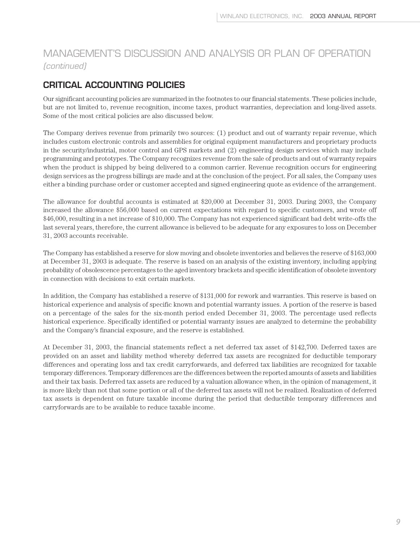### **CRITICAL ACCOUNTING POLICIES**

Our significant accounting policies are summarized in the footnotes to our financial statements. These policies include, but are not limited to, revenue recognition, income taxes, product warranties, depreciation and long-lived assets. Some of the most critical policies are also discussed below.

The Company derives revenue from primarily two sources: (1) product and out of warranty repair revenue, which includes custom electronic controls and assemblies for original equipment manufacturers and proprietary products in the security/industrial, motor control and GPS markets and (2) engineering design services which may include programming and prototypes. The Company recognizes revenue from the sale of products and out of warranty repairs when the product is shipped by being delivered to a common carrier. Revenue recognition occurs for engineering design services as the progress billings are made and at the conclusion of the project. For all sales, the Company uses either a binding purchase order or customer accepted and signed engineering quote as evidence of the arrangement.

The allowance for doubtful accounts is estimated at \$20,000 at December 31, 2003. During 2003, the Company increased the allowance \$56,000 based on current expectations with regard to specific customers, and wrote off \$46,000, resulting in a net increase of \$10,000. The Company has not experienced significant bad debt write-offs the last several years, therefore, the current allowance is believed to be adequate for any exposures to loss on December 31, 2003 accounts receivable.

The Company has established a reserve for slow moving and obsolete inventories and believes the reserve of \$163,000 at December 31, 2003 is adequate. The reserve is based on an analysis of the existing inventory, including applying probability of obsolescence percentages to the aged inventory brackets and specific identification of obsolete inventory in connection with decisions to exit certain markets.

In addition, the Company has established a reserve of \$131,000 for rework and warranties. This reserve is based on historical experience and analysis of specific known and potential warranty issues. A portion of the reserve is based on a percentage of the sales for the six-month period ended December 31, 2003. The percentage used reflects historical experience. Specifically identified or potential warranty issues are analyzed to determine the probability and the Company's financial exposure, and the reserve is established.

At December 31, 2003, the financial statements reflect a net deferred tax asset of \$142,700. Deferred taxes are provided on an asset and liability method whereby deferred tax assets are recognized for deductible temporary differences and operating loss and tax credit carryforwards, and deferred tax liabilities are recognized for taxable temporary differences. Temporary differences are the differences between the reported amounts of assets and liabilities and their tax basis. Deferred tax assets are reduced by a valuation allowance when, in the opinion of management, it is more likely than not that some portion or all of the deferred tax assets will not be realized. Realization of deferred tax assets is dependent on future taxable income during the period that deductible temporary differences and carryforwards are to be available to reduce taxable income.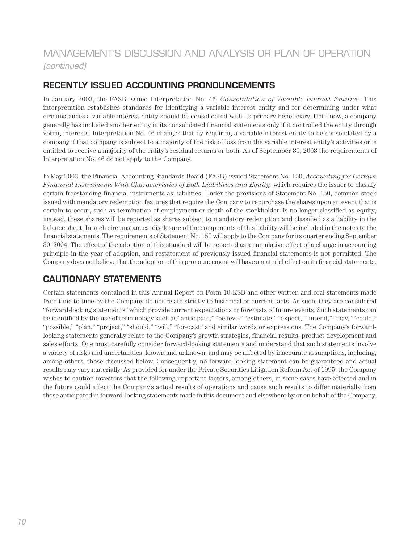### **RECENTLY ISSUED ACCOUNTING PRONOUNCEMENTS**

In January 2003, the FASB issued Interpretation No. 46, *Consolidation of Variable Interest Entities.* This interpretation establishes standards for identifying a variable interest entity and for determining under what circumstances a variable interest entity should be consolidated with its primary beneficiary. Until now, a company generally has included another entity in its consolidated financial statements only if it controlled the entity through voting interests. Interpretation No. 46 changes that by requiring a variable interest entity to be consolidated by a company if that company is subject to a majority of the risk of loss from the variable interest entity's activities or is entitled to receive a majority of the entity's residual returns or both. As of September 30, 2003 the requirements of Interpretation No. 46 do not apply to the Company.

In May 2003, the Financial Accounting Standards Board (FASB) issued Statement No. 150, *Accounting for Certain Financial Instruments With Characteristics of Both Liabilities and Equity,* which requires the issuer to classify certain freestanding financial instruments as liabilities. Under the provisions of Statement No. 150, common stock issued with mandatory redemption features that require the Company to repurchase the shares upon an event that is certain to occur, such as termination of employment or death of the stockholder, is no longer classified as equity; instead, these shares will be reported as shares subject to mandatory redemption and classified as a liability in the balance sheet. In such circumstances, disclosure of the components of this liability will be included in the notes to the financial statements. The requirements of Statement No. 150 will apply to the Company for its quarter ending September 30, 2004. The effect of the adoption of this standard will be reported as a cumulative effect of a change in accounting principle in the year of adoption, and restatement of previously issued financial statements is not permitted. The Company does not believe that the adoption of this pronouncement will have a material effect on its financial statements.

### **CAUTIONARY STATEMENTS**

Certain statements contained in this Annual Report on Form 10-KSB and other written and oral statements made from time to time by the Company do not relate strictly to historical or current facts. As such, they are considered "forward-looking statements" which provide current expectations or forecasts of future events. Such statements can be identified by the use of terminology such as "anticipate," "believe," "estimate," "expect," "intend," "may," "could," "possible," "plan," "project," "should," "will," "forecast" and similar words or expressions. The Company's forwardlooking statements generally relate to the Company's growth strategies, financial results, product development and sales efforts. One must carefully consider forward-looking statements and understand that such statements involve a variety of risks and uncertainties, known and unknown, and may be affected by inaccurate assumptions, including, among others, those discussed below. Consequently, no forward-looking statement can be guaranteed and actual results may vary materially. As provided for under the Private Securities Litigation Reform Act of 1995, the Company wishes to caution investors that the following important factors, among others, in some cases have affected and in the future could affect the Company's actual results of operations and cause such results to differ materially from those anticipated in forward-looking statements made in this document and elsewhere by or on behalf of the Company.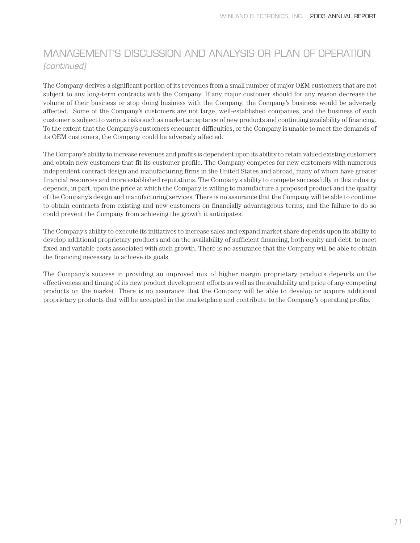The Company derives a significant portion of its revenues from a small number of major OEM customers that are not subject to any long-term contracts with the Company. If any major customer should for any reason decrease the volume of their business or stop doing business with the Company, the Company's business would be adversely affected. Some of the Company's customers are not large, well-established companies, and the business of each customer is subject to various risks such as market acceptance of new products and continuing availability of financing. To the extent that the Company's customers encounter difficulties, or the Company is unable to meet the demands of its OEM customers, the Company could be adversely affected.

The Company's ability to increase revenues and profits is dependent upon its ability to retain valued existing customers and obtain new customers that fit its customer profile. The Company competes for new customers with numerous independent contract design and manufacturing firms in the United States and abroad, many of whom have greater financial resources and more established reputations. The Company's ability to compete successfully in this industry depends, in part, upon the price at which the Company is willing to manufacture a proposed product and the quality of the Company's design and manufacturing services. There is no assurance that the Company will be able to continue to obtain contracts from existing and new customers on financially advantageous terms, and the failure to do so could prevent the Company from achieving the growth it anticipates.

The Company's ability to execute its initiatives to increase sales and expand market share depends upon its ability to develop additional proprietary products and on the availability of sufficient financing, both equity and debt, to meet fixed and variable costs associated with such growth. There is no assurance that the Company will be able to obtain the financing necessary to achieve its goals.

The Company's success in providing an improved mix of higher margin proprietary products depends on the effectiveness and timing of its new product development efforts as well as the availability and price of any competing products on the market. There is no assurance that the Company will be able to develop or acquire additional proprietary products that will be accepted in the marketplace and contribute to the Company's operating profits.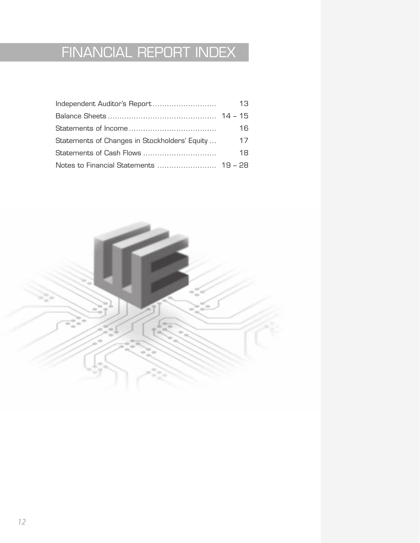# FINANCIAL REPORT INDEX

|                                               | 13 |
|-----------------------------------------------|----|
|                                               |    |
|                                               | 16 |
| Statements of Changes in Stockholders' Equity | 17 |
|                                               | 18 |
|                                               |    |

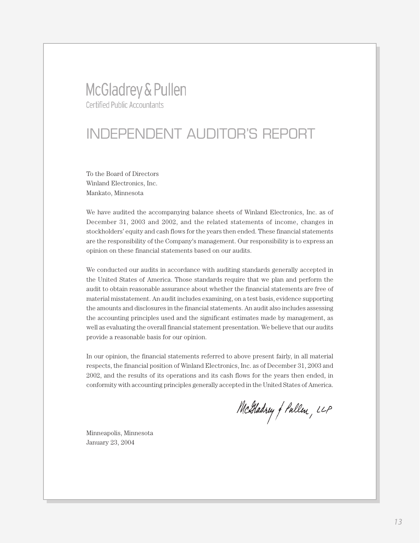## McGladrey & Pullen **Certified Public Accountants**

## INDEPENDENT AUDITOR'S REPORT

To the Board of Directors Winland Electronics, Inc. Mankato, Minnesota

We have audited the accompanying balance sheets of Winland Electronics, Inc. as of December 31, 2003 and 2002, and the related statements of income, changes in stockholders' equity and cash flows for the years then ended. These financial statements are the responsibility of the Company's management. Our responsibility is to express an opinion on these financial statements based on our audits.

We conducted our audits in accordance with auditing standards generally accepted in the United States of America. Those standards require that we plan and perform the audit to obtain reasonable assurance about whether the financial statements are free of material misstatement. An audit includes examining, on a test basis, evidence supporting the amounts and disclosures in the financial statements. An audit also includes assessing the accounting principles used and the significant estimates made by management, as well as evaluating the overall financial statement presentation. We believe that our audits provide a reasonable basis for our opinion.

In our opinion, the financial statements referred to above present fairly, in all material respects, the financial position of Winland Electronics, Inc. as of December 31, 2003 and 2002, and the results of its operations and its cash flows for the years then ended, in conformity with accounting principles generally accepted in the United States of America.

McGladrey of Pullen, LLP

Minneapolis, Minnesota January 23, 2004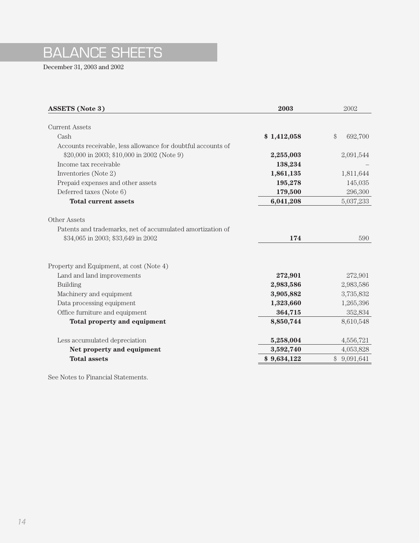## BALANCE SHEETS

December 31, 2003 and 2002

| <b>Current Assets</b><br>\$<br>Cash<br>\$1,412,058<br>Accounts receivable, less allowance for doubtful accounts of<br>\$20,000 in 2003; \$10,000 in 2002 (Note 9)<br>2,255,003 | 692,700<br>2,091,544 |
|--------------------------------------------------------------------------------------------------------------------------------------------------------------------------------|----------------------|
|                                                                                                                                                                                |                      |
|                                                                                                                                                                                |                      |
|                                                                                                                                                                                |                      |
|                                                                                                                                                                                |                      |
|                                                                                                                                                                                |                      |
| Income tax receivable<br>138,234                                                                                                                                               |                      |
| 1,861,135<br>Inventories (Note 2)                                                                                                                                              | 1,811,644            |
| Prepaid expenses and other assets<br>195,278                                                                                                                                   | 145,035              |
| Deferred taxes (Note 6)<br>179,500                                                                                                                                             | 296,300              |
| <b>Total current assets</b><br>6,041,208                                                                                                                                       | 5,037,233            |
|                                                                                                                                                                                |                      |
| Other Assets                                                                                                                                                                   |                      |
| Patents and trademarks, net of accumulated amortization of                                                                                                                     |                      |
| \$34,065 in 2003; \$33,649 in 2002<br>174                                                                                                                                      | 590                  |
|                                                                                                                                                                                |                      |
| Property and Equipment, at cost (Note 4)                                                                                                                                       |                      |
| Land and land improvements<br>272,901                                                                                                                                          | 272,901              |
| <b>Building</b><br>2,983,586                                                                                                                                                   | 2,983,586            |
| 3,905,882<br>Machinery and equipment                                                                                                                                           | 3,735,832            |
| Data processing equipment<br>1,323,660                                                                                                                                         | 1,265,396            |
| Office furniture and equipment<br>364,715                                                                                                                                      | 352,834              |
| 8,850,744<br>Total property and equipment                                                                                                                                      | 8,610,548            |
| 5,258,004<br>Less accumulated depreciation                                                                                                                                     | 4,556,721            |
| 3,592,740<br>Net property and equipment                                                                                                                                        | 4,053,828            |
| <b>Total assets</b><br>\$9,634,122<br>\$9,091,641                                                                                                                              |                      |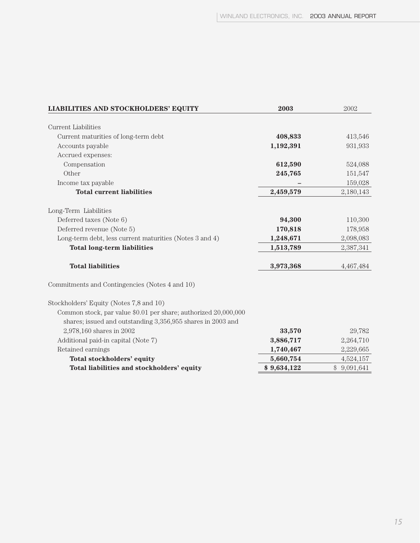| <b>LIABILITIES AND STOCKHOLDERS' EQUITY</b>                                                                                    | 2003        | 2002        |
|--------------------------------------------------------------------------------------------------------------------------------|-------------|-------------|
|                                                                                                                                |             |             |
| <b>Current Liabilities</b>                                                                                                     |             |             |
| Current maturities of long-term debt                                                                                           | 408,833     | 413,546     |
| Accounts payable                                                                                                               | 1,192,391   | 931,933     |
| Accrued expenses:                                                                                                              |             |             |
| Compensation                                                                                                                   | 612,590     | 524,088     |
| Other                                                                                                                          | 245,765     | 151,547     |
| Income tax payable                                                                                                             |             | 159,028     |
| <b>Total current liabilities</b>                                                                                               | 2,459,579   | 2,180,143   |
| Long-Term Liabilities                                                                                                          |             |             |
| Deferred taxes (Note 6)                                                                                                        | 94,300      | 110,300     |
| Deferred revenue (Note 5)                                                                                                      | 170,818     | 178,958     |
| Long-term debt, less current maturities (Notes 3 and 4)                                                                        | 1,248,671   | 2,098,083   |
| <b>Total long-term liabilities</b>                                                                                             | 1,513,789   | 2,387,341   |
| <b>Total liabilities</b>                                                                                                       | 3,973,368   | 4,467,484   |
| Commitments and Contingencies (Notes 4 and 10)                                                                                 |             |             |
| Stockholders' Equity (Notes 7,8 and 10)                                                                                        |             |             |
| Common stock, par value \$0.01 per share; authorized 20,000,000<br>shares; issued and outstanding 3,356,955 shares in 2003 and |             |             |
| 2,978,160 shares in 2002                                                                                                       | 33,570      | 29,782      |
| Additional paid-in capital (Note 7)                                                                                            | 3,886,717   | 2,264,710   |
| Retained earnings                                                                                                              | 1,740,467   | 2,229,665   |
| <b>Total stockholders' equity</b>                                                                                              | 5,660,754   | 4,524,157   |
| Total liabilities and stockholders' equity                                                                                     | \$9,634,122 | \$9,091,641 |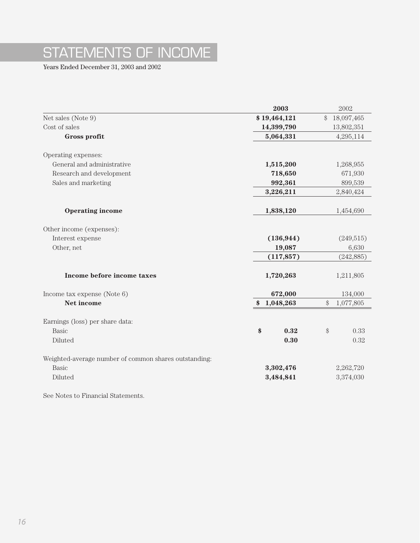# STATEMENTS OF INCOME

Years Ended December 31, 2003 and 2002

|                                                       | 2003                   | 2002             |            |
|-------------------------------------------------------|------------------------|------------------|------------|
| Net sales (Note 9)                                    | \$19,464,121           | \$<br>18,097,465 |            |
| Cost of sales                                         | 14,399,790             | 13,802,351       |            |
| Gross profit                                          | 5,064,331              |                  | 4,295,114  |
| Operating expenses:                                   |                        |                  |            |
| General and administrative                            | 1,515,200              |                  | 1,268,955  |
| Research and development                              | 718,650                |                  | 671,930    |
| Sales and marketing                                   | 992,361                |                  | 899,539    |
|                                                       | 3,226,211              |                  | 2,840,424  |
| <b>Operating income</b>                               | 1,838,120              |                  | 1,454,690  |
| Other income (expenses):                              |                        |                  |            |
| Interest expense                                      | (136, 944)             |                  | (249, 515) |
| Other, net                                            | 19,087                 |                  | 6,630      |
|                                                       | (117, 857)             |                  | (242, 885) |
| Income before income taxes                            | 1,720,263              |                  | 1,211,805  |
| Income tax expense (Note $6$ )                        | 672,000                |                  | 134,000    |
| Net income                                            | 1,048,263<br>$\bullet$ | $\$$             | 1,077,805  |
| Earnings (loss) per share data:                       |                        |                  |            |
| Basic                                                 | \$<br>0.32             | $\$\$            | 0.33       |
| Diluted                                               | 0.30                   |                  | 0.32       |
| Weighted-average number of common shares outstanding: |                        |                  |            |
| <b>Basic</b>                                          | 3,302,476              |                  | 2,262,720  |
| Diluted                                               | 3,484,841              |                  | 3,374,030  |
|                                                       |                        |                  |            |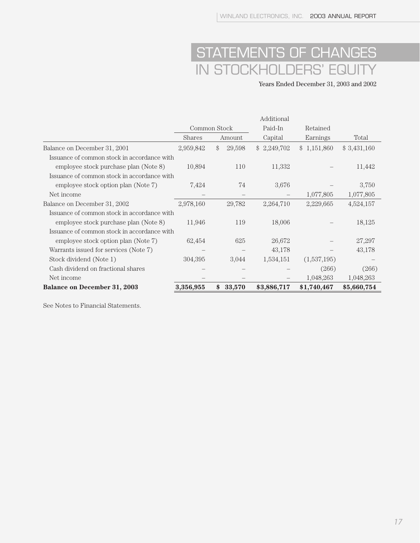## STATEMENTS OF CHANGES IN STOCKHOLDERS' EQUITY

Years Ended December 31, 2003 and 2002

|                                             |               |              | Additional  |             |             |
|---------------------------------------------|---------------|--------------|-------------|-------------|-------------|
|                                             |               | Common Stock | Paid-In     | Retained    |             |
|                                             | <b>Shares</b> | Amount       |             | Earnings    | Total       |
| Balance on December 31, 2001                | 2,959,842     | \$<br>29,598 | \$2,249,702 | \$1,151,860 | \$3,431,160 |
| Issuance of common stock in accordance with |               |              |             |             |             |
| employee stock purchase plan (Note 8)       | 10,894        | 110          | 11,332      |             | 11,442      |
| Issuance of common stock in accordance with |               |              |             |             |             |
| employee stock option plan (Note 7)         | 7,424         | 74           | 3,676       |             | 3,750       |
| Net income                                  |               |              |             | 1,077,805   | 1,077,805   |
| Balance on December 31, 2002                | 2,978,160     | 29,782       | 2,264,710   | 2,229,665   | 4,524,157   |
| Issuance of common stock in accordance with |               |              |             |             |             |
| employee stock purchase plan (Note 8)       | 11,946        | 119          | 18,006      |             | 18,125      |
| Issuance of common stock in accordance with |               |              |             |             |             |
| employee stock option plan (Note 7)         | 62,454        | 625          | 26,672      |             | 27,297      |
| Warrants issued for services (Note 7)       |               |              | 43,178      |             | 43,178      |
| Stock dividend (Note 1)                     | 304,395       | 3,044        | 1,534,151   | (1,537,195) |             |
| Cash dividend on fractional shares          |               |              |             | (266)       | (266)       |
| Net income                                  |               |              |             | 1,048,263   | 1,048,263   |
| <b>Balance on December 31, 2003</b>         | 3,356,955     | \$<br>33,570 | \$3,886,717 | \$1,740,467 | \$5,660,754 |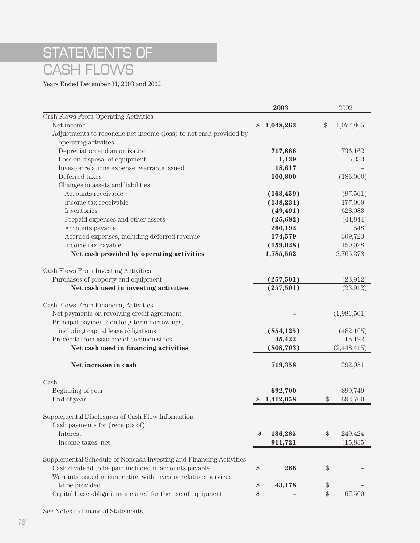## STATEMENTS OF CASH FLOWS

Years Ended December 31, 2003 and 2002

|                                                                     |    | 2003       |       | 2002        |
|---------------------------------------------------------------------|----|------------|-------|-------------|
| Cash Flows From Operating Activities                                |    |            |       |             |
| Net income                                                          | S  | 1,048,263  | $\$\$ | 1,077,805   |
| Adjustments to reconcile net income (loss) to net cash provided by  |    |            |       |             |
| operating activities:                                               |    |            |       |             |
| Depreciation and amortization                                       |    | 717,866    |       | 736,162     |
| Loss on disposal of equipment                                       |    | 1,139      |       | 5,333       |
| Investor relations expense, warrants issued                         |    | 18,617     |       |             |
| Deferred taxes                                                      |    | 100,800    |       | (186,000)   |
| Changes in assets and liabilities:                                  |    |            |       |             |
| Accounts receivable                                                 |    | (163, 459) |       | (97,561)    |
| Income tax receivable                                               |    | (138, 234) |       | 177,000     |
| Inventories                                                         |    | (49, 491)  |       | 628,083     |
| Prepaid expenses and other assets                                   |    | (25, 682)  |       | (44, 844)   |
| Accounts payable                                                    |    | 260,192    |       | 548         |
| Accrued expenses, including deferred revenue                        |    | 174,579    |       | 309,723     |
| Income tax payable                                                  |    | (159, 028) |       | 159,028     |
| Net cash provided by operating activities                           |    | 1,785,562  |       | 2,765,278   |
|                                                                     |    |            |       |             |
| Cash Flows From Investing Activities                                |    |            |       |             |
| Purchases of property and equipment                                 |    | (257, 501) |       | (23, 912)   |
| Net cash used in investing activities                               |    | (257, 501) |       | (23, 912)   |
|                                                                     |    |            |       |             |
| Cash Flows From Financing Activities                                |    |            |       |             |
| Net payments on revolving credit agreement                          |    |            |       | (1,981,501) |
| Principal payments on long-term borrowings,                         |    |            |       |             |
| including capital lease obligations                                 |    | (854, 125) |       | (482, 105)  |
| Proceeds from issuance of common stock                              |    | 45,422     |       | 15,192      |
| Net cash used in financing activities                               |    | (808, 703) |       | (2,448,415) |
|                                                                     |    |            |       |             |
| Net increase in cash                                                |    | 719,358    |       | 292,951     |
|                                                                     |    |            |       |             |
| Cash                                                                |    |            |       |             |
| Beginning of year                                                   |    | 692,700    |       | 399,749     |
| End of year                                                         |    | 1,412,058  | \$    | 692,700     |
|                                                                     |    |            |       |             |
| Supplemental Disclosures of Cash Flow Information                   |    |            |       |             |
| Cash payments for (receipts of):                                    |    |            |       |             |
| Interest                                                            | \$ | 136,285    | \$    | 249,424     |
| Income taxes, net                                                   |    | 911,721    |       | (15,835)    |
|                                                                     |    |            |       |             |
| Supplemental Schedule of Noncash Investing and Financing Activities |    |            |       |             |
| Cash dividend to be paid included in accounts payable               | \$ | 266        | \$    |             |
| Warrants issued in connection with investor relations services      |    |            |       |             |
| to be provided                                                      | \$ | 43,178     | \$    |             |
| Capital lease obligations incurred for the use of equipment         | \$ |            | \$    | 67,500      |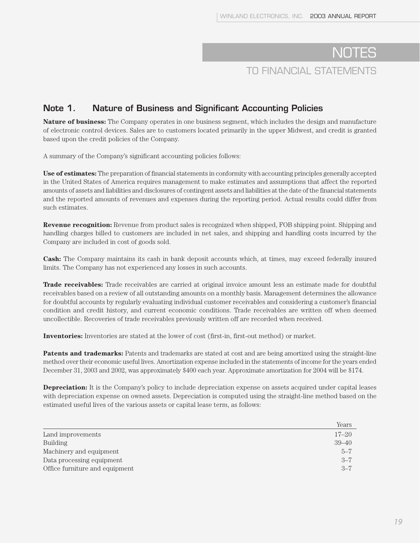#### **Note 1. Nature of Business and Significant Accounting Policies**

**Nature of business:** The Company operates in one business segment, which includes the design and manufacture of electronic control devices. Sales are to customers located primarily in the upper Midwest, and credit is granted based upon the credit policies of the Company.

A summary of the Company's significant accounting policies follows:

**Use of estimates:** The preparation of financial statements in conformity with accounting principles generally accepted in the United States of America requires management to make estimates and assumptions that affect the reported amounts of assets and liabilities and disclosures of contingent assets and liabilities at the date of the financial statements and the reported amounts of revenues and expenses during the reporting period. Actual results could differ from such estimates.

**Revenue recognition:** Revenue from product sales is recognized when shipped, FOB shipping point. Shipping and handling charges billed to customers are included in net sales, and shipping and handling costs incurred by the Company are included in cost of goods sold.

**Cash:** The Company maintains its cash in bank deposit accounts which, at times, may exceed federally insured limits. The Company has not experienced any losses in such accounts.

**Trade receivables:** Trade receivables are carried at original invoice amount less an estimate made for doubtful receivables based on a review of all outstanding amounts on a monthly basis. Management determines the allowance for doubtful accounts by regularly evaluating individual customer receivables and considering a customer's financial condition and credit history, and current economic conditions. Trade receivables are written off when deemed uncollectible. Recoveries of trade receivables previously written off are recorded when received.

**Inventories:** Inventories are stated at the lower of cost (first-in, first-out method) or market.

**Patents and trademarks:** Patents and trademarks are stated at cost and are being amortized using the straight-line method over their economic useful lives. Amortization expense included in the statements of income for the years ended December 31, 2003 and 2002, was approximately \$400 each year. Approximate amortization for 2004 will be \$174.

**Depreciation:** It is the Company's policy to include depreciation expense on assets acquired under capital leases with depreciation expense on owned assets. Depreciation is computed using the straight-line method based on the estimated useful lives of the various assets or capital lease term, as follows:

|                                | Years     |
|--------------------------------|-----------|
| Land improvements              | $17 - 20$ |
| <b>Building</b>                | $39 - 40$ |
| Machinery and equipment        | $5 - 7$   |
| Data processing equipment      | $3 - 7$   |
| Office furniture and equipment | $3 - 7$   |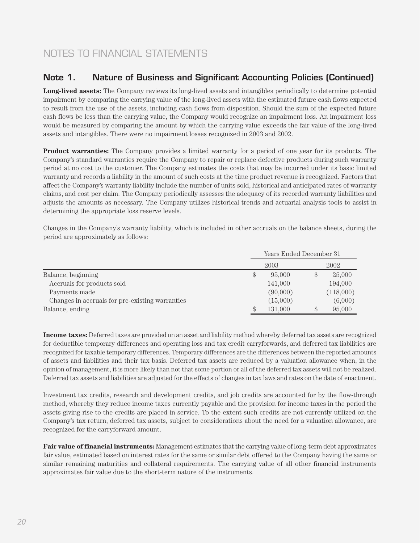#### **Note 1. Nature of Business and Significant Accounting Policies (Continued)**

**Long-lived assets:** The Company reviews its long-lived assets and intangibles periodically to determine potential impairment by comparing the carrying value of the long-lived assets with the estimated future cash flows expected to result from the use of the assets, including cash flows from disposition. Should the sum of the expected future cash flows be less than the carrying value, the Company would recognize an impairment loss. An impairment loss would be measured by comparing the amount by which the carrying value exceeds the fair value of the long-lived assets and intangibles. There were no impairment losses recognized in 2003 and 2002.

**Product warranties:** The Company provides a limited warranty for a period of one year for its products. The Company's standard warranties require the Company to repair or replace defective products during such warranty period at no cost to the customer. The Company estimates the costs that may be incurred under its basic limited warranty and records a liability in the amount of such costs at the time product revenue is recognized. Factors that affect the Company's warranty liability include the number of units sold, historical and anticipated rates of warranty claims, and cost per claim. The Company periodically assesses the adequacy of its recorded warranty liabilities and adjusts the amounts as necessary. The Company utilizes historical trends and actuarial analysis tools to assist in determining the appropriate loss reserve levels.

Changes in the Company's warranty liability, which is included in other accruals on the balance sheets, during the period are approximately as follows:

|          |      | 2002      |
|----------|------|-----------|
| 95,000   |      | 25,000    |
| 141,000  |      | 194,000   |
| (90,000) |      | (118,000) |
| (15,000) |      | (6,000)   |
| 131,000  |      | 95,000    |
|          | 2003 |           |

**Income taxes:** Deferred taxes are provided on an asset and liability method whereby deferred tax assets are recognized for deductible temporary differences and operating loss and tax credit carryforwards, and deferred tax liabilities are recognized for taxable temporary differences. Temporary differences are the differences between the reported amounts of assets and liabilities and their tax basis. Deferred tax assets are reduced by a valuation allowance when, in the opinion of management, it is more likely than not that some portion or all of the deferred tax assets will not be realized. Deferred tax assets and liabilities are adjusted for the effects of changes in tax laws and rates on the date of enactment.

Investment tax credits, research and development credits, and job credits are accounted for by the flow-through method, whereby they reduce income taxes currently payable and the provision for income taxes in the period the assets giving rise to the credits are placed in service. To the extent such credits are not currently utilized on the Company's tax return, deferred tax assets, subject to considerations about the need for a valuation allowance, are recognized for the carryforward amount.

**Fair value of financial instruments:** Management estimates that the carrying value of long-term debt approximates fair value, estimated based on interest rates for the same or similar debt offered to the Company having the same or similar remaining maturities and collateral requirements. The carrying value of all other financial instruments approximates fair value due to the short-term nature of the instruments.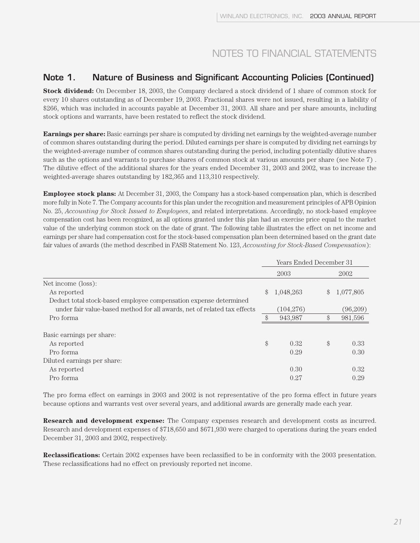#### **Note 1. Nature of Business and Significant Accounting Policies (Continued)**

**Stock dividend:** On December 18, 2003, the Company declared a stock dividend of 1 share of common stock for every 10 shares outstanding as of December 19, 2003. Fractional shares were not issued, resulting in a liability of \$266, which was included in accounts payable at December 31, 2003. All share and per share amounts, including stock options and warrants, have been restated to reflect the stock dividend.

**Earnings per share:** Basic earnings per share is computed by dividing net earnings by the weighted-average number of common shares outstanding during the period. Diluted earnings per share is computed by dividing net earnings by the weighted-average number of common shares outstanding during the period, including potentially dilutive shares such as the options and warrants to purchase shares of common stock at various amounts per share (see Note 7) . The dilutive effect of the additional shares for the years ended December 31, 2003 and 2002, was to increase the weighted-average shares outstanding by 182,365 and 113,310 respectively.

**Employee stock plans:** At December 31, 2003, the Company has a stock-based compensation plan, which is described more fully in Note 7. The Company accounts for this plan under the recognition and measurement principles of APB Opinion No. 25, *Accounting for Stock Issued to Employees*, and related interpretations. Accordingly, no stock-based employee compensation cost has been recognized, as all options granted under this plan had an exercise price equal to the market value of the underlying common stock on the date of grant. The following table illustrates the effect on net income and earnings per share had compensation cost for the stock-based compensation plan been determined based on the grant date fair values of awards (the method described in FASB Statement No. 123, *Accounting for Stock-Based Compensation*):

|                                                                          | Years Ended December 31 |            |               |           |
|--------------------------------------------------------------------------|-------------------------|------------|---------------|-----------|
|                                                                          |                         | 2003       |               | 2002      |
| Net income (loss):                                                       |                         |            |               |           |
| As reported                                                              | $\mathcal{S}$           | 1,048,263  | $\mathcal{S}$ | 1,077,805 |
| Deduct total stock-based employee compensation expense determined        |                         |            |               |           |
| under fair value-based method for all awards, net of related tax effects |                         | (104, 276) |               | (96,209)  |
| Pro forma                                                                |                         | 943,987    | \$            | 981,596   |
| Basic earnings per share:                                                |                         |            |               |           |
| As reported                                                              | \$                      | 0.32       | \$            | 0.33      |
| Pro forma                                                                |                         | 0.29       |               | 0.30      |
| Diluted earnings per share:                                              |                         |            |               |           |
| As reported                                                              |                         | 0.30       |               | 0.32      |
| Pro forma                                                                |                         | 0.27       |               | 0.29      |

The pro forma effect on earnings in 2003 and 2002 is not representative of the pro forma effect in future years because options and warrants vest over several years, and additional awards are generally made each year.

**Research and development expense:** The Company expenses research and development costs as incurred. Research and development expenses of \$718,650 and \$671,930 were charged to operations during the years ended December 31, 2003 and 2002, respectively.

**Reclassifications:** Certain 2002 expenses have been reclassified to be in conformity with the 2003 presentation. These reclassifications had no effect on previously reported net income.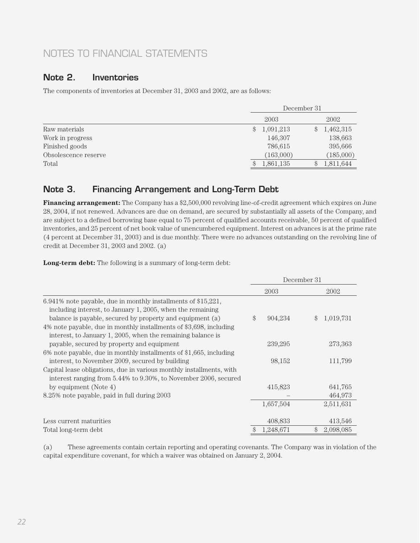#### **Note 2. Inventories**

The components of inventories at December 31, 2003 and 2002, are as follows:

|                      | December 31 |           |    |           |
|----------------------|-------------|-----------|----|-----------|
|                      |             | 2003      |    | 2002      |
| Raw materials        | \$          | 1,091,213 | \$ | 1,462,315 |
| Work in progress     |             | 146,307   |    | 138,663   |
| Finished goods       |             | 786,615   |    | 395,666   |
| Obsolescence reserve |             | (163,000) |    | (185,000) |
| Total                | \$          | 1,861,135 |    | 1,811,644 |

#### **Note 3. Financing Arrangement and Long-Term Debt**

**Financing arrangement:** The Company has a \$2,500,000 revolving line-of-credit agreement which expires on June 28, 2004, if not renewed. Advances are due on demand, are secured by substantially all assets of the Company, and are subject to a defined borrowing base equal to 75 percent of qualified accounts receivable, 50 percent of qualified inventories, and 25 percent of net book value of unencumbered equipment. Interest on advances is at the prime rate (4 percent at December 31, 2003) and is due monthly. There were no advances outstanding on the revolving line of credit at December 31, 2003 and 2002. (a)

**Long-term debt:** The following is a summary of long-term debt:

|                                                                                                                                                                                            | December 31     |                            |
|--------------------------------------------------------------------------------------------------------------------------------------------------------------------------------------------|-----------------|----------------------------|
|                                                                                                                                                                                            | 2003            | 2002                       |
| 6.941% note payable, due in monthly installments of \$15,221,<br>including interest, to January 1, 2005, when the remaining<br>balance is payable, secured by property and equipment (a)   | \$<br>904,234   | 1,019,731<br>$\mathcal{S}$ |
| 4% note payable, due in monthly installments of \$3,698, including<br>interest, to January 1, 2005, when the remaining balance is                                                          |                 |                            |
| payable, secured by property and equipment<br>6% note payable, due in monthly installments of \$1,665, including                                                                           | 239,295         | 273,363                    |
| interest, to November 2009, secured by building<br>Capital lease obligations, due in various monthly installments, with<br>interest ranging from 5.44% to 9.30%, to November 2006, secured | 98,152          | 111,799                    |
| by equipment (Note 4)                                                                                                                                                                      | 415,823         | 641,765                    |
| 8.25% note payable, paid in full during 2003                                                                                                                                               |                 | 464,973                    |
|                                                                                                                                                                                            | 1,657,504       | 2,511,631                  |
| Less current maturities                                                                                                                                                                    | 408,833         | 413,546                    |
| Total long-term debt                                                                                                                                                                       | \$<br>1,248,671 | \$<br>2,098,085            |

(a) These agreements contain certain reporting and operating covenants. The Company was in violation of the capital expenditure covenant, for which a waiver was obtained on January 2, 2004.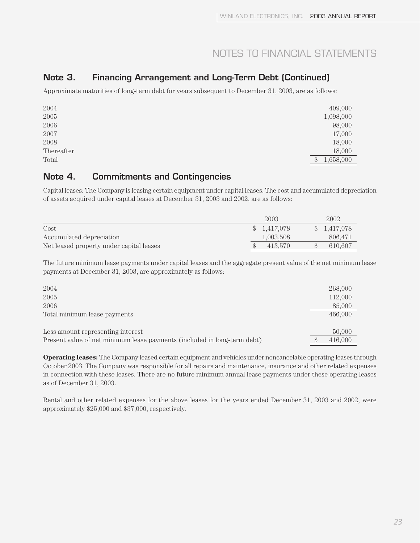#### **Note 3. Financing Arrangement and Long-Term Debt (Continued)**

Approximate maturities of long-term debt for years subsequent to December 31, 2003, are as follows:

| 2004       | 409,000            |
|------------|--------------------|
| 2005       | 1,098,000          |
| 2006       | 98,000             |
| 2007       | 17,000             |
| 2008       | 18,000             |
| Thereafter | 18,000             |
| Total      | 1,658,000<br>$\$\$ |

#### **Note 4. Commitments and Contingencies**

Capital leases: The Company is leasing certain equipment under capital leases. The cost and accumulated depreciation of assets acquired under capital leases at December 31, 2003 and 2002, are as follows:

|                                          | 2003                       | 2002        |
|------------------------------------------|----------------------------|-------------|
| Cost                                     | 1,417,078<br>$\mathcal{S}$ | \$1,417,078 |
| Accumulated depreciation                 | 1,003,508                  | 806.471     |
| Net leased property under capital leases | 413.570                    | 610.607     |

The future minimum lease payments under capital leases and the aggregate present value of the net minimum lease payments at December 31, 2003, are approximately as follows:

| 2004                                                                     | 268,000 |
|--------------------------------------------------------------------------|---------|
| 2005                                                                     | 112,000 |
| 2006                                                                     | 85,000  |
| Total minimum lease payments                                             | 466,000 |
|                                                                          |         |
| Less amount representing interest                                        | 50,000  |
| Present value of net minimum lease payments (included in long-term debt) | 416,000 |

**Operating leases:** The Company leased certain equipment and vehicles under noncancelable operating leases through October 2003. The Company was responsible for all repairs and maintenance, insurance and other related expenses in connection with these leases. There are no future minimum annual lease payments under these operating leases as of December 31, 2003.

Rental and other related expenses for the above leases for the years ended December 31, 2003 and 2002, were approximately \$25,000 and \$37,000, respectively.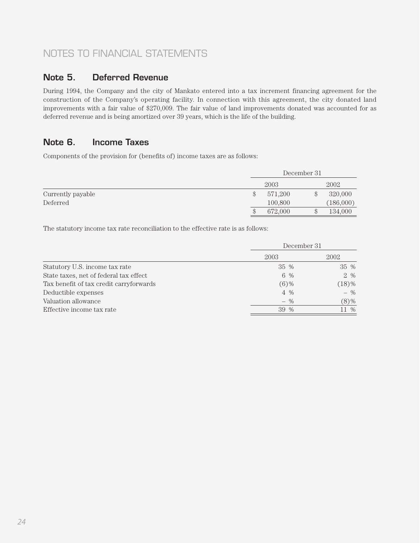#### **Note 5. Deferred Revenue**

During 1994, the Company and the city of Mankato entered into a tax increment financing agreement for the construction of the Company's operating facility. In connection with this agreement, the city donated land improvements with a fair value of \$270,009. The fair value of land improvements donated was accounted for as deferred revenue and is being amortized over 39 years, which is the life of the building.

#### **Note 6. Income Taxes**

Components of the provision for (benefits of) income taxes are as follows:

|                   |               | December 31 |  |           |
|-------------------|---------------|-------------|--|-----------|
|                   |               | 2003        |  | 2002      |
| Currently payable | $\mathcal{S}$ | 571,200     |  | 320,000   |
| Deferred          |               | 100,800     |  | (186,000) |
|                   | S             | 672,000     |  | 134,000   |

The statutory income tax rate reconciliation to the effective rate is as follows:

|                                         | December 31 |          |  |
|-----------------------------------------|-------------|----------|--|
|                                         | 2003        | 2002     |  |
| Statutory U.S. income tax rate          | 35 %        | 35 %     |  |
| State taxes, net of federal tax effect  | 6 %         | 2 %      |  |
| Tax benefit of tax credit carryforwards | $(6)$ %     | $(18)\%$ |  |
| Deductible expenses                     | $4\%$       | $-$ %    |  |
| Valuation allowance                     | $-$ %       | $(8)\%$  |  |
| Effective income tax rate               | 39 %        | 11 %     |  |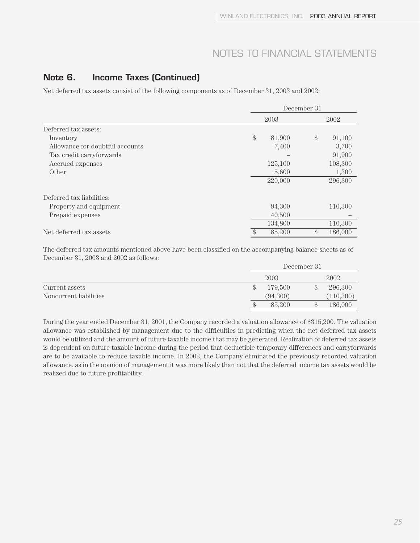#### **Note 6. Income Taxes (Continued)**

Net deferred tax assets consist of the following components as of December 31, 2003 and 2002:

|                                 |        | December 31 |    |         |  |
|---------------------------------|--------|-------------|----|---------|--|
|                                 |        | 2003        |    | 2002    |  |
| Deferred tax assets:            |        |             |    |         |  |
| Inventory                       | $\$\,$ | 81,900      | \$ | 91,100  |  |
| Allowance for doubtful accounts |        | 7,400       |    | 3,700   |  |
| Tax credit carryforwards        |        |             |    | 91,900  |  |
| Accrued expenses                |        | 125,100     |    | 108,300 |  |
| Other                           |        | 5,600       |    | 1,300   |  |
|                                 |        | 220,000     |    | 296,300 |  |
| Deferred tax liabilities:       |        |             |    |         |  |
| Property and equipment          |        | 94,300      |    | 110,300 |  |
| Prepaid expenses                |        | 40,500      |    |         |  |
|                                 |        | 134,800     |    | 110,300 |  |
| Net deferred tax assets         | \$     | 85,200      | \$ | 186,000 |  |

The deferred tax amounts mentioned above have been classified on the accompanying balance sheets as of December 31, 2003 and 2002 as follows:

|                        | December 31   |  |           |
|------------------------|---------------|--|-----------|
|                        | 2003          |  | 2002      |
| Current assets         | \$<br>179.500 |  | 296,300   |
| Noncurrent liabilities | (94,300)      |  | (110,300) |
|                        | \$<br>85,200  |  | 186,000   |

During the year ended December 31, 2001, the Company recorded a valuation allowance of \$315,200. The valuation allowance was established by management due to the difficulties in predicting when the net deferred tax assets would be utilized and the amount of future taxable income that may be generated. Realization of deferred tax assets is dependent on future taxable income during the period that deductible temporary differences and carryforwards are to be available to reduce taxable income. In 2002, the Company eliminated the previously recorded valuation allowance, as in the opinion of management it was more likely than not that the deferred income tax assets would be realized due to future profitability.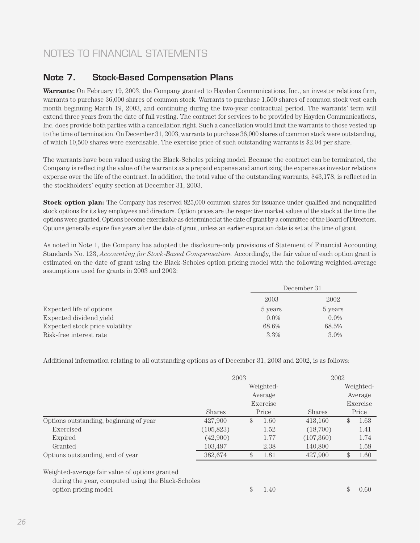#### **Note 7. Stock-Based Compensation Plans**

**Warrants:** On February 19, 2003, the Company granted to Hayden Communications, Inc., an investor relations firm, warrants to purchase 36,000 shares of common stock. Warrants to purchase 1,500 shares of common stock vest each month beginning March 19, 2003, and continuing during the two-year contractual period. The warrants' term will extend three years from the date of full vesting. The contract for services to be provided by Hayden Communications, Inc. does provide both parties with a cancellation right. Such a cancellation would limit the warrants to those vested up to the time of termination. On December 31, 2003, warrants to purchase 36,000 shares of common stock were outstanding, of which 10,500 shares were exercisable. The exercise price of such outstanding warrants is \$2.04 per share.

The warrants have been valued using the Black-Scholes pricing model. Because the contract can be terminated, the Company is reflecting the value of the warrants as a prepaid expense and amortizing the expense as investor relations expense over the life of the contract. In addition, the total value of the outstanding warrants, \$43,178, is reflected in the stockholders' equity section at December 31, 2003.

**Stock option plan:** The Company has reserved 825,000 common shares for issuance under qualified and nonqualified stock options for its key employees and directors. Option prices are the respective market values of the stock at the time the options were granted. Options become exercisable as determined at the date of grant by a committee of the Board of Directors. Options generally expire five years after the date of grant, unless an earlier expiration date is set at the time of grant.

As noted in Note 1, the Company has adopted the disclosure-only provisions of Statement of Financial Accounting Standards No. 123, *Accounting for Stock-Based Compensation.* Accordingly, the fair value of each option grant is estimated on the date of grant using the Black-Scholes option pricing model with the following weighted-average assumptions used for grants in 2003 and 2002:

|                                 |         | December 31 |  |  |
|---------------------------------|---------|-------------|--|--|
|                                 | 2003    | 2002        |  |  |
| Expected life of options        | 5 years | 5 years     |  |  |
| Expected dividend yield         | $0.0\%$ | $0.0\%$     |  |  |
| Expected stock price volatility | 68.6%   | 68.5%       |  |  |
| Risk-free interest rate         | 3.3%    | 3.0%        |  |  |

Additional information relating to all outstanding options as of December 31, 2003 and 2002, is as follows:

|                                                                                                                             |               | 2003 |           | 2002      |            |
|-----------------------------------------------------------------------------------------------------------------------------|---------------|------|-----------|-----------|------------|
|                                                                                                                             |               |      | Weighted- |           | Weighted-  |
|                                                                                                                             |               |      | Average   |           | Average    |
|                                                                                                                             |               |      | Exercise  |           | Exercise   |
|                                                                                                                             | <b>Shares</b> |      | Price     | Shares    | Price      |
| Options outstanding, beginning of year                                                                                      | 427,900       | \$   | 1.60      | 413.160   | \$<br>1.63 |
| Exercised                                                                                                                   | (105,823)     |      | 1.52      | (18,700)  | 1.41       |
| Expired                                                                                                                     | (42,900)      |      | 1.77      | (107,360) | 1.74       |
| Granted                                                                                                                     | 103.497       |      | 2.38      | 140,800   | 1.58       |
| Options outstanding, end of year                                                                                            | 382,674       | \$   | 1.81      | 427,900   | \$<br>1.60 |
| Weighted-average fair value of options granted<br>during the year, computed using the Black-Scholes<br>option pricing model |               | \$   | 1.40      |           | \$<br>0.60 |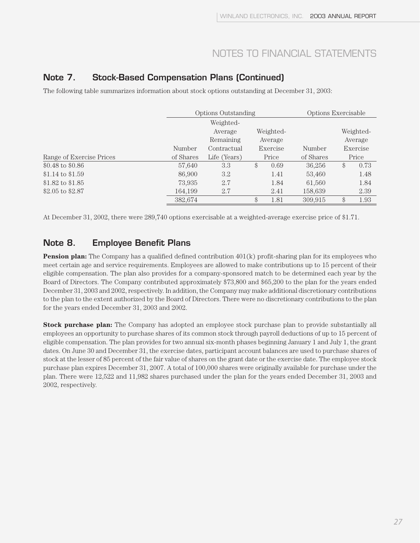#### **Note 7. Stock-Based Compensation Plans (Continued)**

The following table summarizes information about stock options outstanding at December 31, 2003:

|                           |           | <b>Options Outstanding</b> |               |      | Options Exercisable |    |           |
|---------------------------|-----------|----------------------------|---------------|------|---------------------|----|-----------|
|                           |           | Weighted-                  |               |      |                     |    |           |
|                           |           | Average                    | Weighted-     |      |                     |    | Weighted- |
|                           |           | Remaining                  | Average       |      |                     |    | Average   |
|                           | Number    | Contractual                | Exercise      |      | Number              |    | Exercise  |
| Range of Exercise Prices  | of Shares | Life (Years)               | Price         |      | of Shares           |    | Price     |
| $$0.48 \text{ to } $0.86$ | 57,640    | 3.3                        | $\mathcal{S}$ | 0.69 | 36,256              | \$ | 0.73      |
| $$1.14 \text{ to } $1.59$ | 86,900    | 3.2                        |               | 1.41 | 53,460              |    | 1.48      |
| \$1.82 to $$1.85$         | 73,935    | 2.7                        |               | 1.84 | 61,560              |    | 1.84      |
| \$2.05 to \$2.87          | 164,199   | 2.7                        |               | 2.41 | 158,639             |    | 2.39      |
|                           | 382,674   |                            | \$            | 1.81 | 309.915             | \$ | 1.93      |

At December 31, 2002, there were 289,740 options exercisable at a weighted-average exercise price of \$1.71.

#### **Note 8. Employee Benefit Plans**

**Pension plan:** The Company has a qualified defined contribution 401(k) profit-sharing plan for its employees who meet certain age and service requirements. Employees are allowed to make contributions up to 15 percent of their eligible compensation. The plan also provides for a company-sponsored match to be determined each year by the Board of Directors. The Company contributed approximately \$73,800 and \$65,200 to the plan for the years ended December 31, 2003 and 2002, respectively. In addition, the Company may make additional discretionary contributions to the plan to the extent authorized by the Board of Directors. There were no discretionary contributions to the plan for the years ended December 31, 2003 and 2002.

**Stock purchase plan:** The Company has adopted an employee stock purchase plan to provide substantially all employees an opportunity to purchase shares of its common stock through payroll deductions of up to 15 percent of eligible compensation. The plan provides for two annual six-month phases beginning January 1 and July 1, the grant dates. On June 30 and December 31, the exercise dates, participant account balances are used to purchase shares of stock at the lesser of 85 percent of the fair value of shares on the grant date or the exercise date. The employee stock purchase plan expires December 31, 2007. A total of 100,000 shares were originally available for purchase under the plan. There were 12,522 and 11,982 shares purchased under the plan for the years ended December 31, 2003 and 2002, respectively.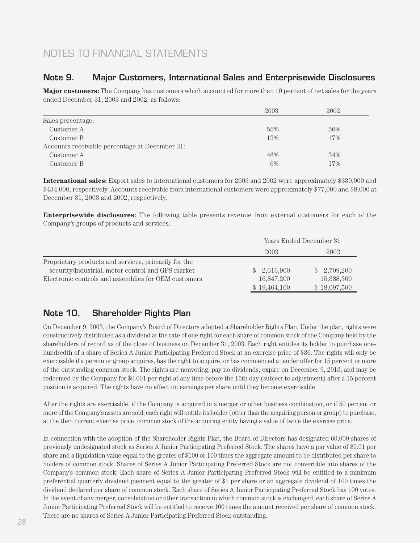#### **Note 9. Major Customers, International Sales and Enterprisewide Disclosures**

**Major customers:** The Company has customers which accounted for more than 10 percent of net sales for the years ended December 31, 2003 and 2002, as follows:

|                                                | 2003 | 2002 |
|------------------------------------------------|------|------|
| Sales percentage:                              |      |      |
| Customer A                                     | 55%  | 50%  |
| Customer B                                     | 13%  | 17%  |
| Accounts receivable percentage at December 31: |      |      |
| Customer A                                     | 46%  | 34%  |
| Customer B                                     | 6%   | 17%  |

**International sales:** Export sales to international customers for 2003 and 2002 were approximately \$330,000 and \$434,000, respectively. Accounts receivable from international customers were approximately \$77,000 and \$8,000 at December 31, 2003 and 2002, respectively.

**Enterprisewide disclosures:** The following table presents revenue from external customers for each of the Company's groups of products and services:

|                                                      |              | Years Ended December 31 |  |  |
|------------------------------------------------------|--------------|-------------------------|--|--|
|                                                      | 2003         | 2002                    |  |  |
| Proprietary products and services, primarily for the |              |                         |  |  |
| security/industrial, motor control and GPS market    | \$2,616,900  | \$2,709,200             |  |  |
| Electronic controls and assemblies for OEM customers | 16.847.200   | 15,388,300              |  |  |
|                                                      | \$19,464,100 | \$18,097,500            |  |  |

#### **Note 10. Shareholder Rights Plan**

On December 9, 2003, the Company's Board of Directors adopted a Shareholder Rights Plan. Under the plan, rights were constructively distributed as a dividend at the rate of one right for each share of common stock of the Company held by the shareholders of record as of the close of business on December 31, 2003. Each right entitles its holder to purchase onehundredth of a share of Series A Junior Participating Preferred Stock at an exercise price of \$36. The rights will only be exercisable if a person or group acquires, has the right to acquire, or has commenced a tender offer for 15 percent or more of the outstanding common stock. The rights are nonvoting, pay no dividends, expire on December 9, 2013, and may be redeemed by the Company for \$0.001 per right at any time before the 15th day (subject to adjustment) after a 15 percent position is acquired. The rights have no effect on earnings per share until they become exercisable.

After the rights are exercisable, if the Company is acquired in a merger or other business combination, or if 50 percent or more of the Company's assets are sold, each right will entitle its holder (other than the acquiring person or group) to purchase, at the then current exercise price, common stock of the acquiring entity having a value of twice the exercise price.

In connection with the adoption of the Shareholder Rights Plan, the Board of Directors has designated 60,000 shares of previously undesignated stock as Series A Junior Participating Preferred Stock. The shares have a par value of \$0.01 per share and a liquidation value equal to the greater of \$100 or 100 times the aggregate amount to be distributed per share to holders of common stock. Shares of Series A Junior Participating Preferred Stock are not convertible into shares of the Company's common stock. Each share of Series A Junior Participating Preferred Stock will be entitled to a minimum preferential quarterly dividend payment equal to the greater of \$1 per share or an aggregate dividend of 100 times the dividend declared per share of common stock. Each share of Series A Junior Participating Preferred Stock has 100 votes. In the event of any merger, consolidation or other transaction in which common stock is exchanged, each share of Series A Junior Participating Preferred Stock will be entitled to receive 100 times the amount received per share of common stock. There are no shares of Series A Junior Participating Preferred Stock outstanding.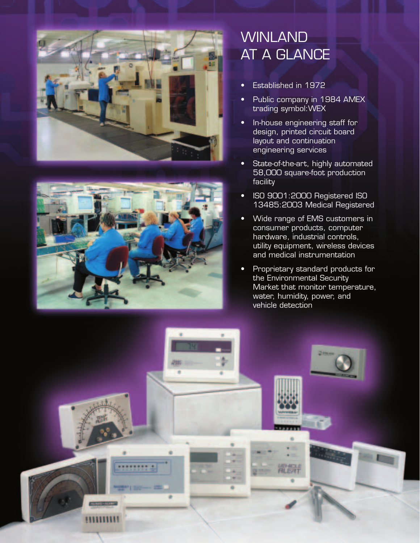



## WINLAND **AT A GLANCE**

- Established in 1972
- Public company in 1984 AMEX trading symbol:WEX
- In-house engineering staff for design, printed circuit board layout and continuation engineering services
- State-of-the-art, highly automated 58,000 square-foot production facility
- ISO 9001:2000 Registered ISO 13485:2003 Medical Registered
- Wide range of EMS customers in consumer products, computer hardware, industrial controls, utility equipment, wireless devices and medical instrumentation
- Proprietary standard products for the Environmental Security Market that monitor temperature, water, humidity, power, and vehicle detection